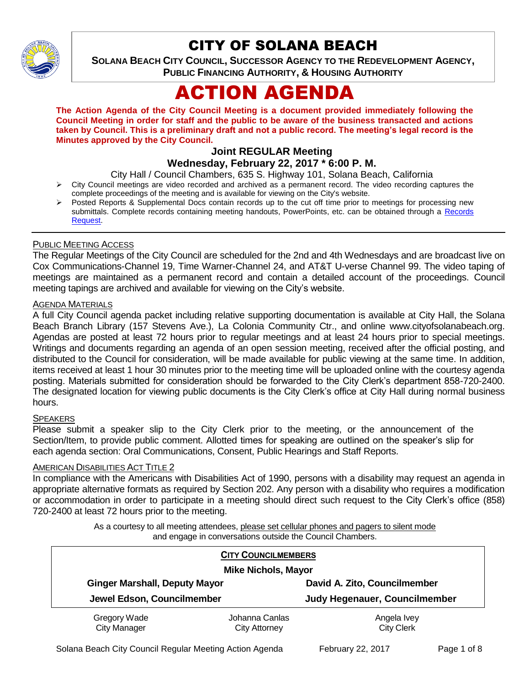

## CITY OF SOLANA BEACH

**SOLANA BEACH CITY COUNCIL, SUCCESSOR AGENCY TO THE REDEVELOPMENT AGENCY, PUBLIC FINANCING AUTHORITY, & HOUSING AUTHORITY** 

# ACTION AGENDA

**The Action Agenda of the City Council Meeting is a document provided immediately following the Council Meeting in order for staff and the public to be aware of the business transacted and actions taken by Council. This is a preliminary draft and not a public record. The meeting's legal record is the Minutes approved by the City Council.**

## **Joint REGULAR Meeting**

## **Wednesday, February 22, 2017 \* 6:00 P. M.**

City Hall / Council Chambers, 635 S. Highway 101, Solana Beach, California

- $\triangleright$  City Council meetings are video recorded and archived as a permanent record. The video recording captures the complete proceedings of the meeting and is available for viewing on the City's website.
- Posted Reports & Supplemental Docs contain records up to the cut off time prior to meetings for processing new submittals. Complete records containing meeting handouts, PowerPoints, etc. can be obtained through a Records [Request.](http://www.ci.solana-beach.ca.us/index.asp?SEC=F5D45D10-70CE-4291-A27C-7BD633FC6742&Type=B_BASIC)

## PUBLIC MEETING ACCESS

The Regular Meetings of the City Council are scheduled for the 2nd and 4th Wednesdays and are broadcast live on Cox Communications-Channel 19, Time Warner-Channel 24, and AT&T U-verse Channel 99. The video taping of meetings are maintained as a permanent record and contain a detailed account of the proceedings. Council meeting tapings are archived and available for viewing on the City's website.

## AGENDA MATERIALS

A full City Council agenda packet including relative supporting documentation is available at City Hall, the Solana Beach Branch Library (157 Stevens Ave.), La Colonia Community Ctr., and online www.cityofsolanabeach.org. Agendas are posted at least 72 hours prior to regular meetings and at least 24 hours prior to special meetings. Writings and documents regarding an agenda of an open session meeting, received after the official posting, and distributed to the Council for consideration, will be made available for public viewing at the same time. In addition, items received at least 1 hour 30 minutes prior to the meeting time will be uploaded online with the courtesy agenda posting. Materials submitted for consideration should be forwarded to the City Clerk's department 858-720-2400. The designated location for viewing public documents is the City Clerk's office at City Hall during normal business hours.

## **SPEAKERS**

Please submit a speaker slip to the City Clerk prior to the meeting, or the announcement of the Section/Item, to provide public comment. Allotted times for speaking are outlined on the speaker's slip for each agenda section: Oral Communications, Consent, Public Hearings and Staff Reports.

## AMERICAN DISABILITIES ACT TITLE 2

In compliance with the Americans with Disabilities Act of 1990, persons with a disability may request an agenda in appropriate alternative formats as required by Section 202. Any person with a disability who requires a modification or accommodation in order to participate in a meeting should direct such request to the City Clerk's office (858) 720-2400 at least 72 hours prior to the meeting.

> As a courtesy to all meeting attendees, please set cellular phones and pagers to silent mode and engage in conversations outside the Council Chambers.

| <b>CITY COUNCILMEMBERS</b><br><b>Mike Nichols, Mayor</b> |                                 |                                      |
|----------------------------------------------------------|---------------------------------|--------------------------------------|
| <b>Ginger Marshall, Deputy Mayor</b>                     |                                 | David A. Zito, Councilmember         |
| Jewel Edson, Councilmember                               |                                 | <b>Judy Hegenauer, Councilmember</b> |
| Gregory Wade<br><b>City Manager</b>                      | Johanna Canlas<br>City Attorney | Angela Ivey<br><b>City Clerk</b>     |

Solana Beach City Council Regular Meeting Action Agenda February 22, 2017 Page 1 of 8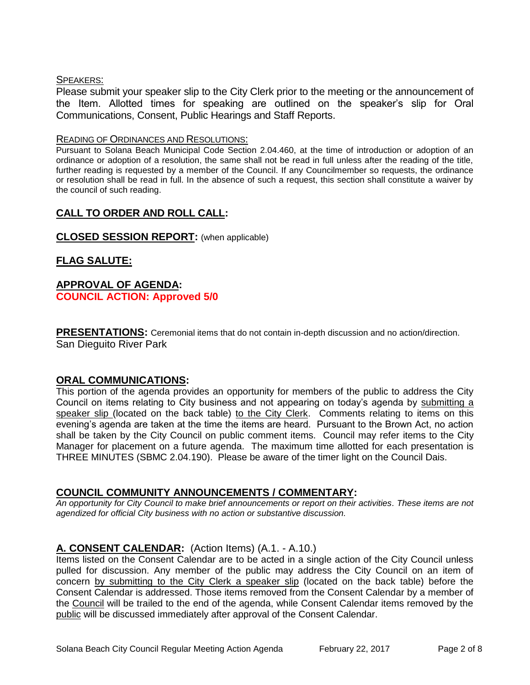## SPEAKERS:

Please submit your speaker slip to the City Clerk prior to the meeting or the announcement of the Item. Allotted times for speaking are outlined on the speaker's slip for Oral Communications, Consent, Public Hearings and Staff Reports.

#### READING OF ORDINANCES AND RESOLUTIONS:

Pursuant to Solana Beach Municipal Code Section 2.04.460, at the time of introduction or adoption of an ordinance or adoption of a resolution, the same shall not be read in full unless after the reading of the title, further reading is requested by a member of the Council. If any Councilmember so requests, the ordinance or resolution shall be read in full. In the absence of such a request, this section shall constitute a waiver by the council of such reading.

## **CALL TO ORDER AND ROLL CALL:**

## **CLOSED SESSION REPORT:** (when applicable)

## **FLAG SALUTE:**

## **APPROVAL OF AGENDA: COUNCIL ACTION: Approved 5/0**

**PRESENTATIONS:** Ceremonial items that do not contain in-depth discussion and no action/direction. San Dieguito River Park

## **ORAL COMMUNICATIONS:**

This portion of the agenda provides an opportunity for members of the public to address the City Council on items relating to City business and not appearing on today's agenda by submitting a speaker slip (located on the back table) to the City Clerk. Comments relating to items on this evening's agenda are taken at the time the items are heard. Pursuant to the Brown Act, no action shall be taken by the City Council on public comment items. Council may refer items to the City Manager for placement on a future agenda. The maximum time allotted for each presentation is THREE MINUTES (SBMC 2.04.190). Please be aware of the timer light on the Council Dais.

## **COUNCIL COMMUNITY ANNOUNCEMENTS / COMMENTARY:**

*An opportunity for City Council to make brief announcements or report on their activities. These items are not agendized for official City business with no action or substantive discussion.* 

## **A. CONSENT CALENDAR:** (Action Items) (A.1. - A.10.)

Items listed on the Consent Calendar are to be acted in a single action of the City Council unless pulled for discussion. Any member of the public may address the City Council on an item of concern by submitting to the City Clerk a speaker slip (located on the back table) before the Consent Calendar is addressed. Those items removed from the Consent Calendar by a member of the Council will be trailed to the end of the agenda, while Consent Calendar items removed by the public will be discussed immediately after approval of the Consent Calendar.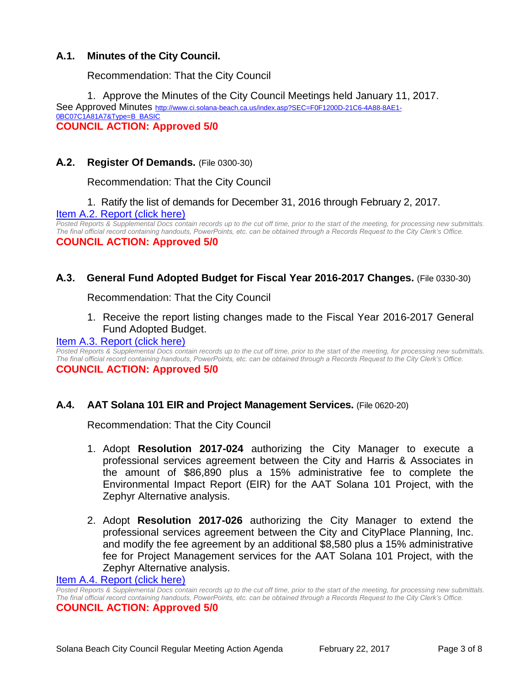## **A.1. Minutes of the City Council.**

Recommendation: That the City Council

1. Approve the Minutes of the City Council Meetings held January 11, 2017. See Approved Minutes [http://www.ci.solana-beach.ca.us/index.asp?SEC=F0F1200D-21C6-4A88-8AE1-](http://www.ci.solana-beach.ca.us/index.asp?SEC=F0F1200D-21C6-4A88-8AE1-0BC07C1A81A7&Type=B_BASIC) [0BC07C1A81A7&Type=B\\_BASIC](http://www.ci.solana-beach.ca.us/index.asp?SEC=F0F1200D-21C6-4A88-8AE1-0BC07C1A81A7&Type=B_BASIC) **COUNCIL ACTION: Approved 5/0**

## **A.2. Register Of Demands.** (File 0300-30)

Recommendation: That the City Council

## 1. Ratify the list of demands for December 31, 2016 through February 2, 2017. [Item A.2. Report \(click here\)](https://solanabeach.govoffice3.com/vertical/Sites/%7B840804C2-F869-4904-9AE3-720581350CE7%7D/uploads/Item_A.2._Report_(click_here)_02-22-17.PDF)

*Posted Reports & Supplemental Docs contain records up to the cut off time, prior to the start of the meeting, for processing new submittals. The final official record containing handouts, PowerPoints, etc. can be obtained through a Records Request to the City Clerk's Office.* **COUNCIL ACTION: Approved 5/0**

## **A.3. General Fund Adopted Budget for Fiscal Year 2016-2017 Changes.** (File 0330-30)

Recommendation: That the City Council

1. Receive the report listing changes made to the Fiscal Year 2016-2017 General Fund Adopted Budget.

#### [Item A.3. Report \(click here\)](https://solanabeach.govoffice3.com/vertical/Sites/%7B840804C2-F869-4904-9AE3-720581350CE7%7D/uploads/Item_A.3._Report_(click_here)_02-22-17.PDF)

*Posted Reports & Supplemental Docs contain records up to the cut off time, prior to the start of the meeting, for processing new submittals. The final official record containing handouts, PowerPoints, etc. can be obtained through a Records Request to the City Clerk's Office.*

#### **COUNCIL ACTION: Approved 5/0**

**A.4. AAT Solana 101 EIR and Project Management Services.** (File 0620-20)

Recommendation: That the City Council

- 1. Adopt **Resolution 2017-024** authorizing the City Manager to execute a professional services agreement between the City and Harris & Associates in the amount of \$86,890 plus a 15% administrative fee to complete the Environmental Impact Report (EIR) for the AAT Solana 101 Project, with the Zephyr Alternative analysis.
- 2. Adopt **Resolution 2017-026** authorizing the City Manager to extend the professional services agreement between the City and CityPlace Planning, Inc. and modify the fee agreement by an additional \$8,580 plus a 15% administrative fee for Project Management services for the AAT Solana 101 Project, with the Zephyr Alternative analysis.

#### [Item A.4. Report \(click here\)](https://solanabeach.govoffice3.com/vertical/Sites/%7B840804C2-F869-4904-9AE3-720581350CE7%7D/uploads/Item_A.4._Report_(click_here)_02-22-17.PDF)

*Posted Reports & Supplemental Docs contain records up to the cut off time, prior to the start of the meeting, for processing new submittals. The final official record containing handouts, PowerPoints, etc. can be obtained through a Records Request to the City Clerk's Office.* **COUNCIL ACTION: Approved 5/0**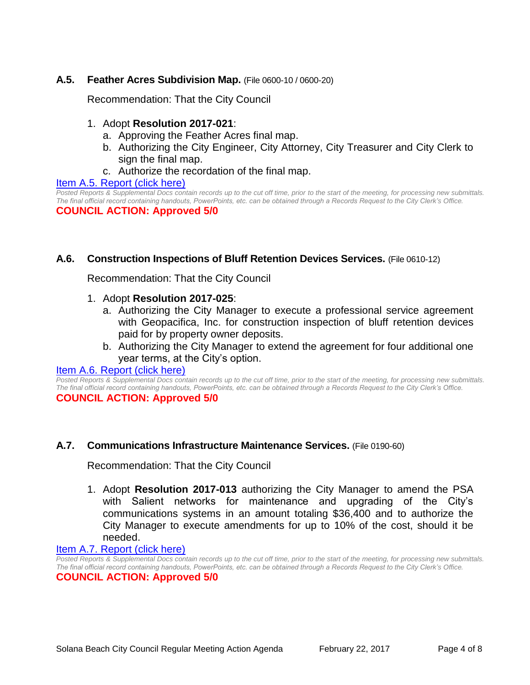## **A.5. Feather Acres Subdivision Map.** (File 0600-10 / 0600-20)

Recommendation: That the City Council

- 1. Adopt **Resolution 2017-021**:
	- a. Approving the Feather Acres final map.
	- b. Authorizing the City Engineer, City Attorney, City Treasurer and City Clerk to sign the final map.
	- c. Authorize the recordation of the final map.

#### [Item A.5. Report \(click here\)](https://solanabeach.govoffice3.com/vertical/Sites/%7B840804C2-F869-4904-9AE3-720581350CE7%7D/uploads/Item_A.5._Report_(click_here)_02-22-17.PDF)

Posted Reports & Supplemental Docs contain records up to the cut off time, prior to the start of the meeting, for processing new submittals. *The final official record containing handouts, PowerPoints, etc. can be obtained through a Records Request to the City Clerk's Office.*

**COUNCIL ACTION: Approved 5/0**

## **A.6. Construction Inspections of Bluff Retention Devices Services.** (File 0610-12)

Recommendation: That the City Council

## 1. Adopt **Resolution 2017-025**:

- a. Authorizing the City Manager to execute a professional service agreement with Geopacifica, Inc. for construction inspection of bluff retention devices paid for by property owner deposits.
- b. Authorizing the City Manager to extend the agreement for four additional one year terms, at the City's option.

#### [Item A.6. Report \(click here\)](https://solanabeach.govoffice3.com/vertical/Sites/%7B840804C2-F869-4904-9AE3-720581350CE7%7D/uploads/Item_A.6._Report_(click_here)_02-22-17.PDF)

*Posted Reports & Supplemental Docs contain records up to the cut off time, prior to the start of the meeting, for processing new submittals. The final official record containing handouts, PowerPoints, etc. can be obtained through a Records Request to the City Clerk's Office.* **COUNCIL ACTION: Approved 5/0**

## **A.7. Communications Infrastructure Maintenance Services.** (File 0190-60)

Recommendation: That the City Council

1. Adopt **Resolution 2017-013** authorizing the City Manager to amend the PSA with Salient networks for maintenance and upgrading of the City's communications systems in an amount totaling \$36,400 and to authorize the City Manager to execute amendments for up to 10% of the cost, should it be needed.

#### Item A.7. [Report \(click here\)](https://solanabeach.govoffice3.com/vertical/Sites/%7B840804C2-F869-4904-9AE3-720581350CE7%7D/uploads/Item_A.7._Report_(click_here)_02-22-17.PDF)

*Posted Reports & Supplemental Docs contain records up to the cut off time, prior to the start of the meeting, for processing new submittals. The final official record containing handouts, PowerPoints, etc. can be obtained through a Records Request to the City Clerk's Office.* **COUNCIL ACTION: Approved 5/0**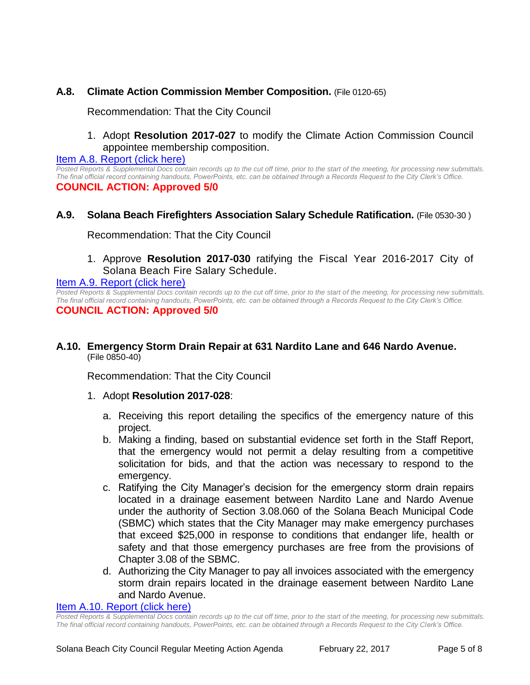## **A.8. Climate Action Commission Member Composition.** (File 0120-65)

Recommendation: That the City Council

1. Adopt **Resolution 2017-027** to modify the Climate Action Commission Council appointee membership composition.

[Item A.8. Report \(click here\)](https://solanabeach.govoffice3.com/vertical/Sites/%7B840804C2-F869-4904-9AE3-720581350CE7%7D/uploads/Item_A.8._Report_(click_here)_02-22-17.PDF)

*Posted Reports & Supplemental Docs contain records up to the cut off time, prior to the start of the meeting, for processing new submittals. The final official record containing handouts, PowerPoints, etc. can be obtained through a Records Request to the City Clerk's Office.* **COUNCIL ACTION: Approved 5/0**

## **A.9. Solana Beach Firefighters Association Salary Schedule Ratification.** (File 0530-30 )

Recommendation: That the City Council

1. Approve **Resolution 2017-030** ratifying the Fiscal Year 2016-2017 City of Solana Beach Fire Salary Schedule.

#### [Item A.9. Report \(click here\)](https://solanabeach.govoffice3.com/vertical/Sites/%7B840804C2-F869-4904-9AE3-720581350CE7%7D/uploads/Item_A.9._Report_(click_here)_02-22-17.PDF)

*Posted Reports & Supplemental Docs contain records up to the cut off time, prior to the start of the meeting, for processing new submittals. The final official record containing handouts, PowerPoints, etc. can be obtained through a Records Request to the City Clerk's Office.* **COUNCIL ACTION: Approved 5/0**

## **A.10. Emergency Storm Drain Repair at 631 Nardito Lane and 646 Nardo Avenue.** (File 0850-40)

Recommendation: That the City Council

- 1. Adopt **Resolution 2017-028**:
	- a. Receiving this report detailing the specifics of the emergency nature of this project.
	- b. Making a finding, based on substantial evidence set forth in the Staff Report, that the emergency would not permit a delay resulting from a competitive solicitation for bids, and that the action was necessary to respond to the emergency.
	- c. Ratifying the City Manager's decision for the emergency storm drain repairs located in a drainage easement between Nardito Lane and Nardo Avenue under the authority of Section 3.08.060 of the Solana Beach Municipal Code (SBMC) which states that the City Manager may make emergency purchases that exceed \$25,000 in response to conditions that endanger life, health or safety and that those emergency purchases are free from the provisions of Chapter 3.08 of the SBMC.
	- d. Authorizing the City Manager to pay all invoices associated with the emergency storm drain repairs located in the drainage easement between Nardito Lane and Nardo Avenue.

#### [Item A.10. Report \(click here\)](https://solanabeach.govoffice3.com/vertical/Sites/%7B840804C2-F869-4904-9AE3-720581350CE7%7D/uploads/Item_A.10._Report_(click_here)_02-22-17.PDF)

*Posted Reports & Supplemental Docs contain records up to the cut off time, prior to the start of the meeting, for processing new submittals. The final official record containing handouts, PowerPoints, etc. can be obtained through a Records Request to the City Clerk's Office.*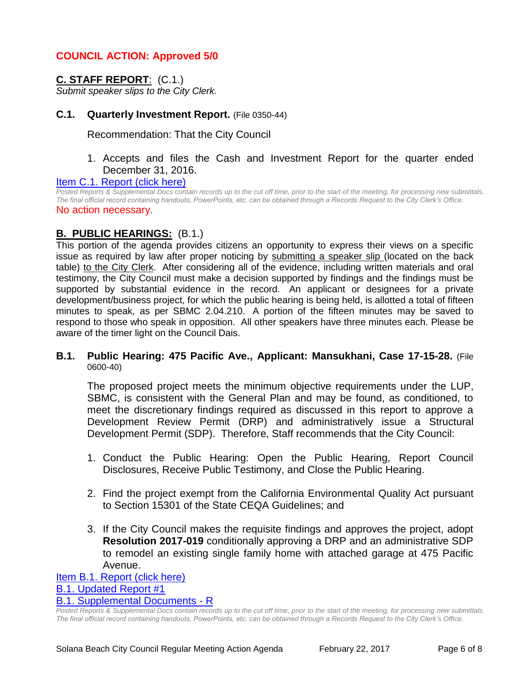## **COUNCIL ACTION: Approved 5/0**

## **C. STAFF REPORT**: (C.1.)

*Submit speaker slips to the City Clerk.*

## **C.1. Quarterly Investment Report.** (File 0350-44)

Recommendation: That the City Council

## 1. Accepts and files the Cash and Investment Report for the quarter ended December 31, 2016.

#### [Item C.1. Report \(click here\)](https://solanabeach.govoffice3.com/vertical/Sites/%7B840804C2-F869-4904-9AE3-720581350CE7%7D/uploads/Item_C.1._Report_(click_here)_02-22-17.PDF)

*Posted Reports & Supplemental Docs contain records up to the cut off time, prior to the start of the meeting, for processing new submittals. The final official record containing handouts, PowerPoints, etc. can be obtained through a Records Request to the City Clerk's Office.* No action necessary.

## **B. PUBLIC HEARINGS:** (B.1.)

This portion of the agenda provides citizens an opportunity to express their views on a specific issue as required by law after proper noticing by submitting a speaker slip (located on the back table) to the City Clerk. After considering all of the evidence, including written materials and oral testimony, the City Council must make a decision supported by findings and the findings must be supported by substantial evidence in the record. An applicant or designees for a private development/business project, for which the public hearing is being held, is allotted a total of fifteen minutes to speak, as per SBMC 2.04.210. A portion of the fifteen minutes may be saved to respond to those who speak in opposition. All other speakers have three minutes each. Please be aware of the timer light on the Council Dais.

#### **B.1. Public Hearing: 475 Pacific Ave., Applicant: Mansukhani, Case 17-15-28.** (File 0600-40)

The proposed project meets the minimum objective requirements under the LUP, SBMC, is consistent with the General Plan and may be found, as conditioned, to meet the discretionary findings required as discussed in this report to approve a Development Review Permit (DRP) and administratively issue a Structural Development Permit (SDP). Therefore, Staff recommends that the City Council:

- 1. Conduct the Public Hearing: Open the Public Hearing, Report Council Disclosures, Receive Public Testimony, and Close the Public Hearing.
- 2. Find the project exempt from the California Environmental Quality Act pursuant to Section 15301 of the State CEQA Guidelines; and
- 3. If the City Council makes the requisite findings and approves the project, adopt **Resolution 2017-019** conditionally approving a DRP and an administrative SDP to remodel an existing single family home with attached garage at 475 Pacific Avenue.

[Item B.1. Report \(click here\)](https://solanabeach.govoffice3.com/vertical/Sites/%7B840804C2-F869-4904-9AE3-720581350CE7%7D/uploads/Item_B.1._Report_(click_here)_02-22-17.PDF) [B.1. Updated Report #1](https://solanabeach.govoffice3.com/vertical/Sites/%7B840804C2-F869-4904-9AE3-720581350CE7%7D/uploads/B.1._Updated_Report_1_02-22-17.pdf) [B.1. Supplemental Documents](https://solanabeach.govoffice3.com/vertical/Sites/%7B840804C2-F869-4904-9AE3-720581350CE7%7D/uploads/B.1._Supplemental_Documents_updated_at_210pm_-_2-22-17.pdf) - R

*Posted Reports & Supplemental Docs contain records up to the cut off time, prior to the start of the meeting, for processing new submittals. The final official record containing handouts, PowerPoints, etc. can be obtained through a Records Request to the City Clerk's Office.*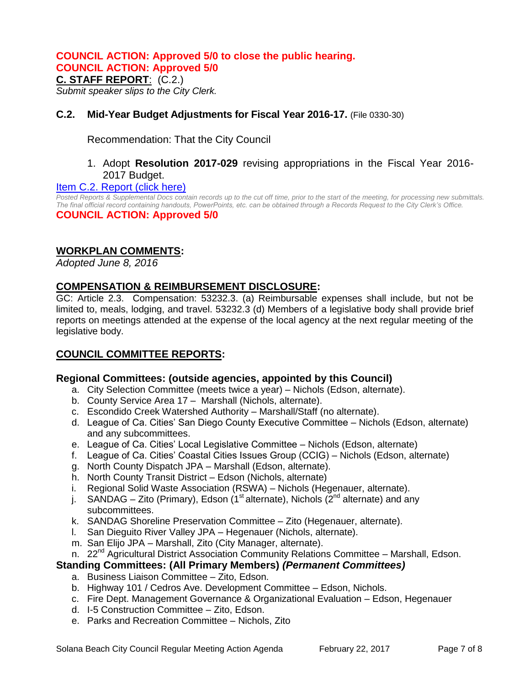## **COUNCIL ACTION: Approved 5/0 to close the public hearing.**

**COUNCIL ACTION: Approved 5/0**

### **C. STAFF REPORT**: (C.2.)

*Submit speaker slips to the City Clerk.*

## **C.2. Mid-Year Budget Adjustments for Fiscal Year 2016-17.** (File 0330-30)

Recommendation: That the City Council

## 1. Adopt **Resolution 2017-029** revising appropriations in the Fiscal Year 2016- 2017 Budget.

## [Item C.2. Report \(click here\)](https://solanabeach.govoffice3.com/vertical/Sites/%7B840804C2-F869-4904-9AE3-720581350CE7%7D/uploads/Item_C.2._Report_(click_here)_02-22-2017.pdf)

*Posted Reports & Supplemental Docs contain records up to the cut off time, prior to the start of the meeting, for processing new submittals. The final official record containing handouts, PowerPoints, etc. can be obtained through a Records Request to the City Clerk's Office.* **COUNCIL ACTION: Approved 5/0**

## **WORKPLAN COMMENTS:**

*Adopted June 8, 2016*

## **COMPENSATION & REIMBURSEMENT DISCLOSURE:**

GC: Article 2.3. Compensation: 53232.3. (a) Reimbursable expenses shall include, but not be limited to, meals, lodging, and travel. 53232.3 (d) Members of a legislative body shall provide brief reports on meetings attended at the expense of the local agency at the next regular meeting of the legislative body.

## **COUNCIL COMMITTEE REPORTS:**

## **Regional Committees: (outside agencies, appointed by this Council)**

- a. City Selection Committee (meets twice a year) Nichols (Edson, alternate).
- b. County Service Area 17 Marshall (Nichols, alternate).
- c. Escondido Creek Watershed Authority Marshall/Staff (no alternate).
- d. League of Ca. Cities' San Diego County Executive Committee Nichols (Edson, alternate) and any subcommittees.
- e. League of Ca. Cities' Local Legislative Committee Nichols (Edson, alternate)
- f. League of Ca. Cities' Coastal Cities Issues Group (CCIG) Nichols (Edson, alternate)
- g. North County Dispatch JPA Marshall (Edson, alternate).
- h. North County Transit District Edson (Nichols, alternate)
- i. Regional Solid Waste Association (RSWA) Nichols (Hegenauer, alternate).
- j. SANDAG Zito (Primary), Edson (1<sup>st</sup> alternate), Nichols (2<sup>nd</sup> alternate) and any subcommittees.
- k. SANDAG Shoreline Preservation Committee Zito (Hegenauer, alternate).
- l. San Dieguito River Valley JPA Hegenauer (Nichols, alternate).
- m. San Elijo JPA Marshall, Zito (City Manager, alternate).
- n. 22<sup>nd</sup> Agricultural District Association Community Relations Committee Marshall, Edson.

## **Standing Committees: (All Primary Members)** *(Permanent Committees)*

- a. Business Liaison Committee Zito, Edson.
- b. Highway 101 / Cedros Ave. Development Committee Edson, Nichols.
- c. Fire Dept. Management Governance & Organizational Evaluation Edson, Hegenauer
- d. I-5 Construction Committee Zito, Edson.
- e. Parks and Recreation Committee Nichols, Zito